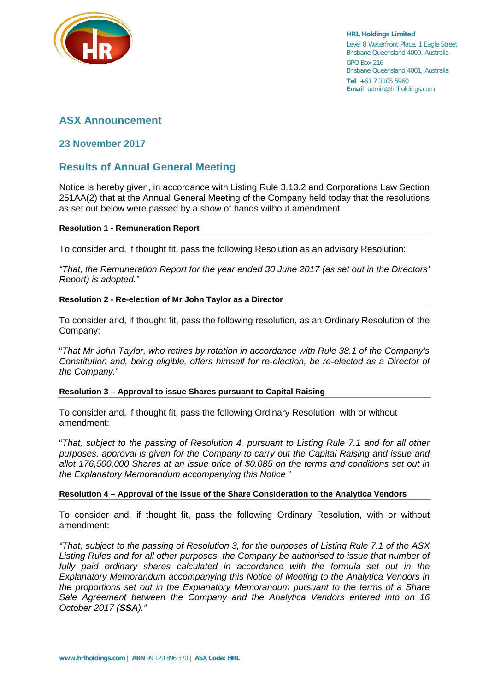

**HRL Holdings Limited** Level 8 Waterfront Place, 1 Eagle Street Brisbane Queensland 4000, Australia GPO Box 216 Brisbane Queensland 4001, Australia **Tel** +61 7 3105 5960 **Emai**l admin@hrlholdings.com

# **ASX Announcement**

### **23 November 2017**

## **Results of Annual General Meeting**

Notice is hereby given, in accordance with Listing Rule 3.13.2 and Corporations Law Section 251AA(2) that at the Annual General Meeting of the Company held today that the resolutions as set out below were passed by a show of hands without amendment.

#### **Resolution 1 - Remuneration Report**

To consider and, if thought fit, pass the following Resolution as an advisory Resolution:

*"That, the Remuneration Report for the year ended 30 June 2017 (as set out in the Directors' Report) is adopted."*

#### **Resolution 2 - Re-election of Mr John Taylor as a Director**

To consider and, if thought fit, pass the following resolution, as an Ordinary Resolution of the Company:

"*That Mr John Taylor, who retires by rotation in accordance with Rule 38.1 of the Company's Constitution and, being eligible, offers himself for re-election, be re-elected as a Director of the Company.*"

#### **Resolution 3 – Approval to issue Shares pursuant to Capital Raising**

To consider and, if thought fit, pass the following Ordinary Resolution, with or without amendment:

"*That, subject to the passing of Resolution 4, pursuant to Listing Rule 7.1 and for all other purposes, approval is given for the Company to carry out the Capital Raising and issue and allot 176,500,000 Shares at an issue price of \$0.085 on the terms and conditions set out in the Explanatory Memorandum accompanying this Notice* "

#### **Resolution 4 – Approval of the issue of the Share Consideration to the Analytica Vendors**

To consider and, if thought fit, pass the following Ordinary Resolution, with or without amendment:

*"That, subject to the passing of Resolution 3, for the purposes of Listing Rule 7.1 of the ASX Listing Rules and for all other purposes, the Company be authorised to issue that number of*  fully paid ordinary shares calculated in accordance with the formula set out in the *Explanatory Memorandum accompanying this Notice of Meeting to the Analytica Vendors in the proportions set out in the Explanatory Memorandum pursuant to the terms of a Share Sale Agreement between the Company and the Analytica Vendors entered into on 16 October 2017 (SSA)."*